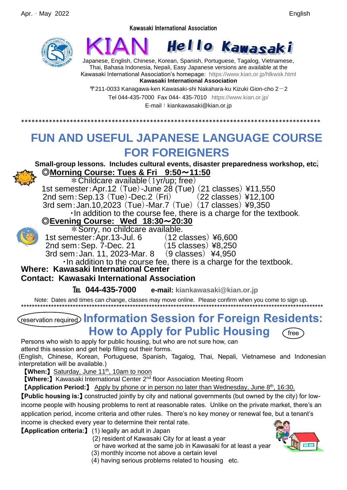#### Kawasaki International Association





Japanese, English, Chinese, Korean, Spanish, Portuguese, Tagalog, Vietnamese, Thai, Bahasa Indonesia, Nepali, Easy Japanese versions are available at the Kawasaki International Association's homepage: <https://www.kian.or.jp/hlkwsk.html> **Kawasaki International Association**

 $\pm$ 211-0033 Kanagawa-ken Kawasaki-shi Nakahara-ku Kizuki Gion-cho 2 $-2$ Tel 044-435-7000 Fax 044- 435-7010 <https://www.kian.or.jp/> E-mail: kiankawasaki@kian.or.jp

# **FUN AND USEFUL JAPANESE LANGUAGE COURSE FOR FOREIGNERS**

\*\*\*\*\*\*\*\*\*\*\*\*\*\*\*\*\*\*\*\*\*\*\*\*\*\*\*\*\*\*\*\*\*\*\*\*\*\*\*\*\*\*\*\*\*\*\*\*\*\*\*\*\*\*\*\*\*\*\*\*\*\*\*\*\*\*\*\*\*\*\*\*\*\*\*\*\*\*\*\*\*\*\*\*\*\*

**Small-group lessons. Includes cultural events, disaster preparedness workshop, etc.** ◎**Morning Course: Tues & Fri 9:50**~**11:50**

 $*$  Childcare available (1yr/up; free) 1st semester:Apr.12 (Tue)-June 28 (Tue) (21 classes) ¥11,550

2nd sem:Sep.13 (Tue)-Dec.2 (Fri) (22 classes) ¥12,100

3rd sem:Jan.10,2023 (Tue)-Mar.7 (Tue) (17 classes) ¥9,350

・In addition to the course fee, there is a charge for the textbook.

### ◎**Evening Course: Wed 18:30**~**20:30**



\*Sorry, no childcare available.

1st semester:Apr.13-Jul. 6 (12 classes) ¥6,600

2nd sem:Sep. 7-Dec. 21 (15 classes) ¥8,250

3rd sem:Jan. 11, 2023-Mar. 8 (9 classes) ¥4,950

・In addition to the course fee, there is a charge for the textbook.

## **Where: Kawasaki International Center**

## **Contact: Kawasaki International Association**

℡ **044-435-7000 e-mail: [kiankawasaki@kian.or.jp](mailto:kiankawasaki@kian.or.jp)**

 Note: Dates and times can change, classes may move online. Please confirm when you come to sign up. \*\*\*\*\*\*\*\*\*\*\*\*\*\*\*\*\*\*\*\*\*\*\*\*\*\*\*\*\*\*\*\*\*\*\*\*\*\*\*\*\*\*\*\*\*\*\*\*\*\*\*\*\*\*\*\*\*\*\*\*\*\*\*\*\*\*\*\*\*\*\*\*\*\*\*\*\*\*\*\*\*\*\*\*\*\*\*\*\*\*\*\*\*\*\*\*\*\*\*\*\*\*\*\*\*\*\*\*\*\*\*

## reservation required **Information Session for Foreign Residents: How to Apply for Public Housing** (free

Persons who wish to apply for public housing, but who are not sure how, can

attend this session and get help filling out their forms.

(English, Chinese, Korean, Portuguese, Spanish, Tagalog, Thai, Nepali, Vietnamese and Indonesian interpretation will be available.)

**【When:】Saturday, June 11<sup>th</sup>, 10am to noon** 

【**Where:**】Kawasaki International Center 2nd floor Association Meeting Room

**【Application Period:】** Apply by phone or in person no later than Wednesday, June 8<sup>th</sup>, 16:30.

【**Public housing is:**】 constructed jointly by city and national governments (but owned by the city) for lowincome people with housing problems to rent at reasonable rates. Unlike on the private market, there's an application period, income criteria and other rules. There's no key money or renewal fee, but a tenant's income is checked every year to determine their rental rate.

【**Application criteria:**】 (1) legally an adult in Japan

- (2) resident of Kawasaki City for at least a year
- or have worked at the same job in Kawasaki for at least a year
- (3) monthly income not above a certain level
- (4) having serious problems related to housing etc.